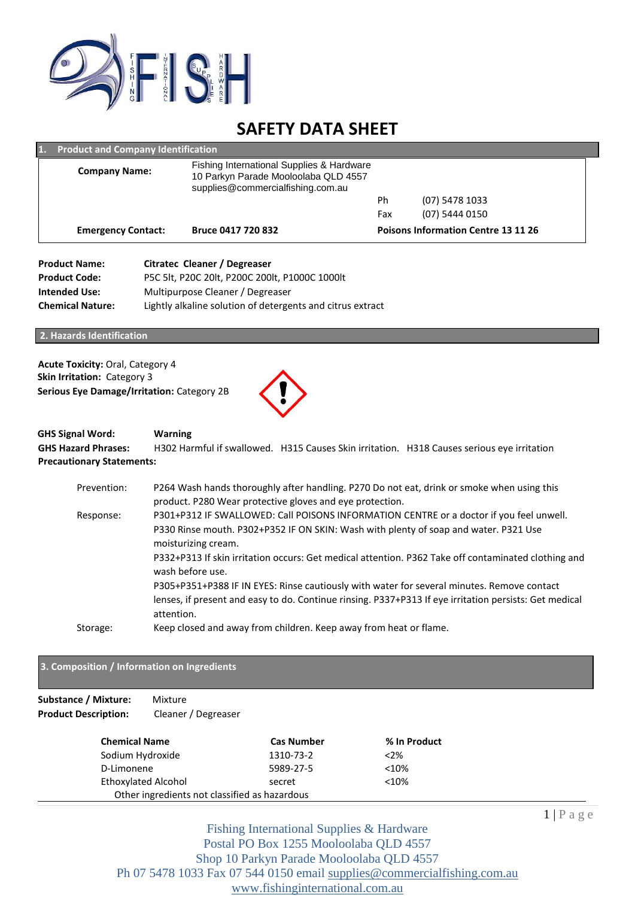

# **SAFETY DATA SHEET**

| <b>Emergency Contact:</b> | Bruce 0417 720 832                                                                                                     |     | <b>Poisons Information Centre 13 11 26</b> |
|---------------------------|------------------------------------------------------------------------------------------------------------------------|-----|--------------------------------------------|
|                           |                                                                                                                        | Fax | (07) 5444 0150                             |
|                           |                                                                                                                        | Ph  | (07) 5478 1033                             |
| <b>Company Name:</b>      | Fishing International Supplies & Hardware<br>10 Parkyn Parade Mooloolaba QLD 4557<br>supplies@commercialfishing.com.au |     |                                            |

| <b>Product Name:</b>    | Citratec Cleaner / Degreaser                               |
|-------------------------|------------------------------------------------------------|
| <b>Product Code:</b>    | P5C 5lt. P20C 20lt. P200C 200lt. P1000C 1000lt             |
| <b>Intended Use:</b>    | Multipurpose Cleaner / Degreaser                           |
| <b>Chemical Nature:</b> | Lightly alkaline solution of detergents and citrus extract |

**2. Hazards Identification** 

**Acute Toxicity:** Oral, Category 4 **Skin Irritation:** Category 3 **Serious Eye Damage/Irritation:** Category 2B



# **GHS Signal Word: Warning**

**GHS Hazard Phrases:** H302 Harmful if swallowed. H315 Causes Skin irritation. H318 Causes serious eye irritation **Precautionary Statements:** 

| Prevention: | P264 Wash hands thoroughly after handling. P270 Do not eat, drink or smoke when using this                              |
|-------------|-------------------------------------------------------------------------------------------------------------------------|
|             | product. P280 Wear protective gloves and eye protection.                                                                |
| Response:   | P301+P312 IF SWALLOWED: Call POISONS INFORMATION CENTRE or a doctor if you feel unwell.                                 |
|             | P330 Rinse mouth. P302+P352 IF ON SKIN: Wash with plenty of soap and water. P321 Use<br>moisturizing cream.             |
|             | P332+P313 If skin irritation occurs: Get medical attention. P362 Take off contaminated clothing and<br>wash before use. |
|             | P305+P351+P388 IF IN EYES: Rinse cautiously with water for several minutes. Remove contact                              |
|             | lenses, if present and easy to do. Continue rinsing. P337+P313 If eye irritation persists: Get medical<br>attention.    |
| Storage:    | Keep closed and away from children. Keep away from heat or flame.                                                       |

# **3. Composition / Information on Ingredients**

# **Substance / Mixture:** Mixture **Product Description:** Cleaner / Degreaser

| <b>Chemical Name</b>                          | <b>Cas Number</b> | % In Product |
|-----------------------------------------------|-------------------|--------------|
| Sodium Hydroxide                              | 1310-73-2         | $< 2\%$      |
| D-Limonene                                    | 5989-27-5         | < 10%        |
| <b>Ethoxylated Alcohol</b>                    | secret            | < 10%        |
| Other ingredients not classified as hazardous |                   |              |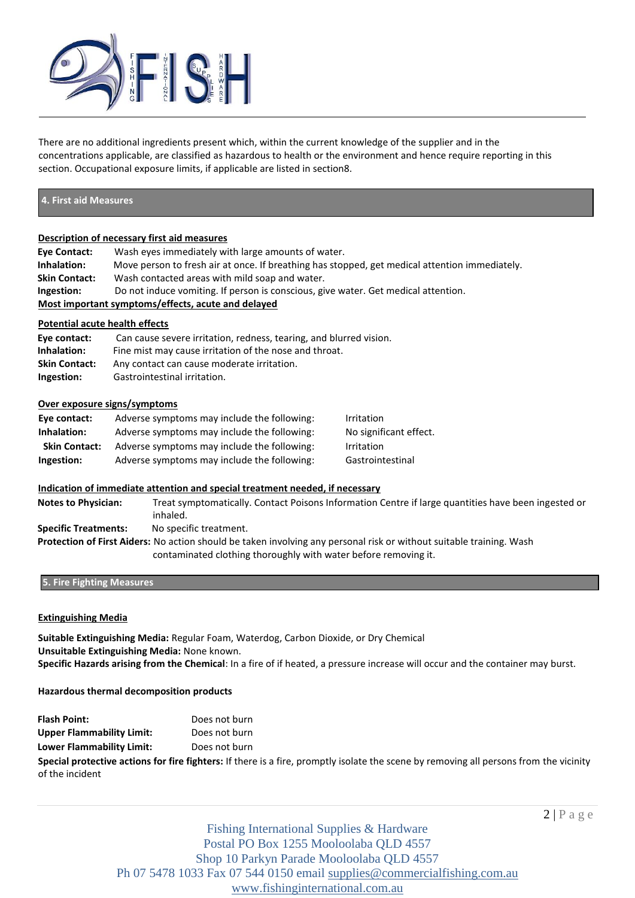

There are no additional ingredients present which, within the current knowledge of the supplier and in the concentrations applicable, are classified as hazardous to health or the environment and hence require reporting in this section. Occupational exposure limits, if applicable are listed in section8.

# **4. First aid Measures**

# **Description of necessary first aid measures**

| Eye Contact:                                       | Wash eves immediately with large amounts of water.                                             |  |
|----------------------------------------------------|------------------------------------------------------------------------------------------------|--|
| Inhalation:                                        | Move person to fresh air at once. If breathing has stopped, get medical attention immediately. |  |
| <b>Skin Contact:</b>                               | Wash contacted areas with mild soap and water.                                                 |  |
| Ingestion:                                         | Do not induce vomiting. If person is conscious, give water. Get medical attention.             |  |
| Most important symptoms/effects, acute and delayed |                                                                                                |  |

# **Potential acute health effects**

| Eye contact:         | Can cause severe irritation, redness, tearing, and blurred vision. |
|----------------------|--------------------------------------------------------------------|
| Inhalation:          | Fine mist may cause irritation of the nose and throat.             |
| <b>Skin Contact:</b> | Any contact can cause moderate irritation.                         |
| Ingestion:           | Gastrointestinal irritation.                                       |

# **Over exposure signs/symptoms**

| Eye contact:         | Adverse symptoms may include the following: | Irritation             |
|----------------------|---------------------------------------------|------------------------|
| Inhalation:          | Adverse symptoms may include the following: | No significant effect. |
| <b>Skin Contact:</b> | Adverse symptoms may include the following: | Irritation             |
| Ingestion:           | Adverse symptoms may include the following: | Gastrointestinal       |

# **Indication of immediate attention and special treatment needed, if necessary**

**Notes to Physician:** Treat symptomatically. Contact Poisons Information Centre if large quantities have been ingested or inhaled. **Specific Treatments:** No specific treatment. **Protection of First Aiders:** No action should be taken involving any personal risk or without suitable training. Wash

contaminated clothing thoroughly with water before removing it.

# **5. Fire Fighting Measures**

# **Extinguishing Media**

**Suitable Extinguishing Media:** Regular Foam, Waterdog, Carbon Dioxide, or Dry Chemical **Unsuitable Extinguishing Media:** None known. **Specific Hazards arising from the Chemical**: In a fire of if heated, a pressure increase will occur and the container may burst.

**Hazardous thermal decomposition products** 

**Flash Point:** Does not burn **Upper Flammability Limit:** Does not burn **Lower Flammability Limit:** Does not burn **Special protective actions for fire fighters:** If there is a fire, promptly isolate the scene by removing all persons from the vicinity of the incident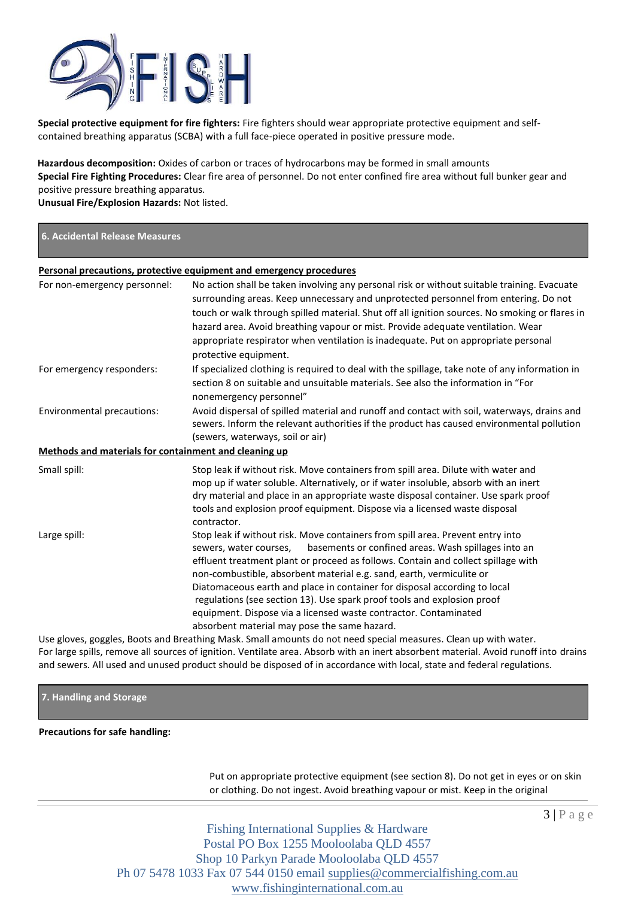

**Special protective equipment for fire fighters:** Fire fighters should wear appropriate protective equipment and selfcontained breathing apparatus (SCBA) with a full face-piece operated in positive pressure mode.

**Hazardous decomposition:** Oxides of carbon or traces of hydrocarbons may be formed in small amounts **Special Fire Fighting Procedures:** Clear fire area of personnel. Do not enter confined fire area without full bunker gear and positive pressure breathing apparatus.

**Unusual Fire/Explosion Hazards:** Not listed.

# **6. Accidental Release Measures**

# **Personal precautions, protective equipment and emergency procedures**

| For non-emergency personnel:                          | No action shall be taken involving any personal risk or without suitable training. Evacuate<br>surrounding areas. Keep unnecessary and unprotected personnel from entering. Do not<br>touch or walk through spilled material. Shut off all ignition sources. No smoking or flares in<br>hazard area. Avoid breathing vapour or mist. Provide adequate ventilation. Wear<br>appropriate respirator when ventilation is inadequate. Put on appropriate personal<br>protective equipment.                                                                                                                   |
|-------------------------------------------------------|----------------------------------------------------------------------------------------------------------------------------------------------------------------------------------------------------------------------------------------------------------------------------------------------------------------------------------------------------------------------------------------------------------------------------------------------------------------------------------------------------------------------------------------------------------------------------------------------------------|
| For emergency responders:                             | If specialized clothing is required to deal with the spillage, take note of any information in<br>section 8 on suitable and unsuitable materials. See also the information in "For<br>nonemergency personnel"                                                                                                                                                                                                                                                                                                                                                                                            |
| Environmental precautions:                            | Avoid dispersal of spilled material and runoff and contact with soil, waterways, drains and<br>sewers. Inform the relevant authorities if the product has caused environmental pollution<br>(sewers, waterways, soil or air)                                                                                                                                                                                                                                                                                                                                                                             |
| Methods and materials for containment and cleaning up |                                                                                                                                                                                                                                                                                                                                                                                                                                                                                                                                                                                                          |
| Small spill:                                          | Stop leak if without risk. Move containers from spill area. Dilute with water and<br>mop up if water soluble. Alternatively, or if water insoluble, absorb with an inert<br>dry material and place in an appropriate waste disposal container. Use spark proof<br>tools and explosion proof equipment. Dispose via a licensed waste disposal<br>contractor.                                                                                                                                                                                                                                              |
| Large spill:                                          | Stop leak if without risk. Move containers from spill area. Prevent entry into<br>basements or confined areas. Wash spillages into an<br>sewers, water courses,<br>effluent treatment plant or proceed as follows. Contain and collect spillage with<br>non-combustible, absorbent material e.g. sand, earth, vermiculite or<br>Diatomaceous earth and place in container for disposal according to local<br>regulations (see section 13). Use spark proof tools and explosion proof<br>equipment. Dispose via a licensed waste contractor. Contaminated<br>absorbent material may pose the same hazard. |
|                                                       | Llee gloves, goggles, Roots and Breathing Mask, Small amounts do not need special measures. Clean un with water                                                                                                                                                                                                                                                                                                                                                                                                                                                                                          |

Use gloves, goggles, Boots and Breathing Mask. Small amounts do not need special measures. Clean up with water. For large spills, remove all sources of ignition. Ventilate area. Absorb with an inert absorbent material. Avoid runoff into drains and sewers. All used and unused product should be disposed of in accordance with local, state and federal regulations.



**Precautions for safe handling:**

Put on appropriate protective equipment (see section 8). Do not get in eyes or on skin or clothing. Do not ingest. Avoid breathing vapour or mist. Keep in the original

 $3 | P a g e$ 

Fishing International Supplies & Hardware Postal PO Box 1255 Mooloolaba QLD 4557 Shop 10 Parkyn Parade Mooloolaba QLD 4557 Ph 07 5478 1033 Fax 07 544 0150 email [supplies@commercialfishing.com.au](mailto:supplies@commercialfishing.com.au) [www.fishinginternational.com.au](http://www.fishinginternational.com.au/)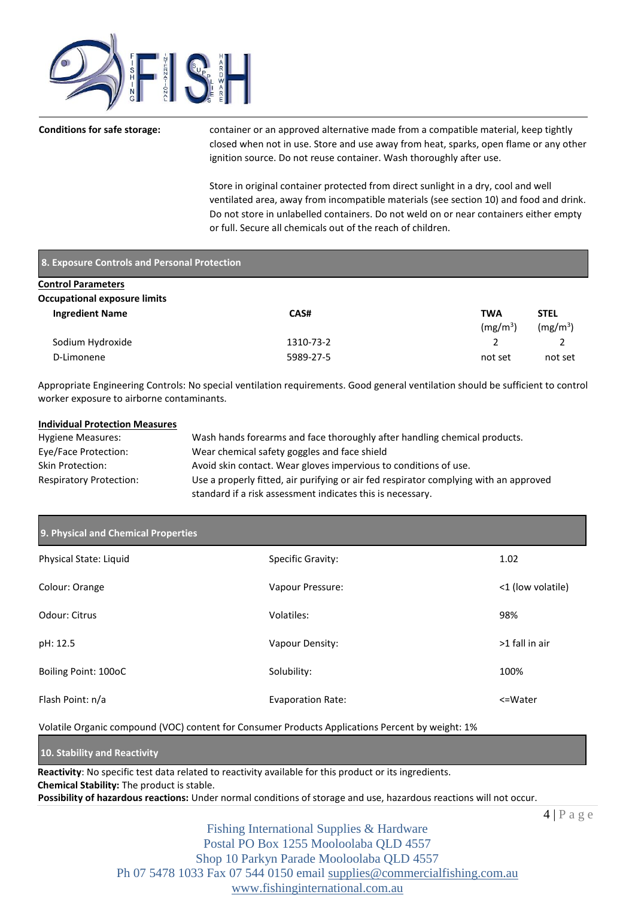

**Conditions for safe storage:** container or an approved alternative made from a compatible material, keep tightly closed when not in use. Store and use away from heat, sparks, open flame or any other ignition source. Do not reuse container. Wash thoroughly after use.

> Store in original container protected from direct sunlight in a dry, cool and well ventilated area, away from incompatible materials (see section 10) and food and drink. Do not store in unlabelled containers. Do not weld on or near containers either empty or full. Secure all chemicals out of the reach of children.

# **8. Exposure Controls and Personal Protection**

| <b>Control Parameters</b>           |           |                      |                      |
|-------------------------------------|-----------|----------------------|----------------------|
| <b>Occupational exposure limits</b> |           |                      |                      |
| <b>Ingredient Name</b>              | CAS#      | <b>TWA</b>           | <b>STEL</b>          |
|                                     |           | (mg/m <sup>3</sup> ) | (mg/m <sup>3</sup> ) |
| Sodium Hydroxide                    | 1310-73-2 |                      |                      |
| D-Limonene                          | 5989-27-5 | not set              | not set              |

Appropriate Engineering Controls: No special ventilation requirements. Good general ventilation should be sufficient to control worker exposure to airborne contaminants.

# **Individual Protection Measures**

| <b>Hygiene Measures:</b>       | Wash hands forearms and face thoroughly after handling chemical products.             |
|--------------------------------|---------------------------------------------------------------------------------------|
| Eye/Face Protection:           | Wear chemical safety goggles and face shield                                          |
| Skin Protection:               | Avoid skin contact. Wear gloves impervious to conditions of use.                      |
| <b>Respiratory Protection:</b> | Use a properly fitted, air purifying or air fed respirator complying with an approved |
|                                | standard if a risk assessment indicates this is necessary.                            |

# **9. Physical and Chemical Properties**

| Physical State: Liquid | Specific Gravity:        | 1.02              |
|------------------------|--------------------------|-------------------|
| Colour: Orange         | Vapour Pressure:         | <1 (low volatile) |
| Odour: Citrus          | Volatiles:               | 98%               |
| pH: 12.5               | Vapour Density:          | >1 fall in air    |
| Boiling Point: 100oC   | Solubility:              | 100%              |
| Flash Point: n/a       | <b>Evaporation Rate:</b> | <=Water           |

Volatile Organic compound (VOC) content for Consumer Products Applications Percent by weight: 1%

# **10. Stability and Reactivity**

**Reactivity**: No specific test data related to reactivity available for this product or its ingredients. **Chemical Stability:** The product is stable. **Possibility of hazardous reactions:** Under normal conditions of storage and use, hazardous reactions will not occur.

 $4 | P a g e$ 

Fishing International Supplies & Hardware Postal PO Box 1255 Mooloolaba QLD 4557 Shop 10 Parkyn Parade Mooloolaba QLD 4557 Ph 07 5478 1033 Fax 07 544 0150 email [supplies@commercialfishing.com.au](mailto:supplies@commercialfishing.com.au) [www.fishinginternational.com.au](http://www.fishinginternational.com.au/)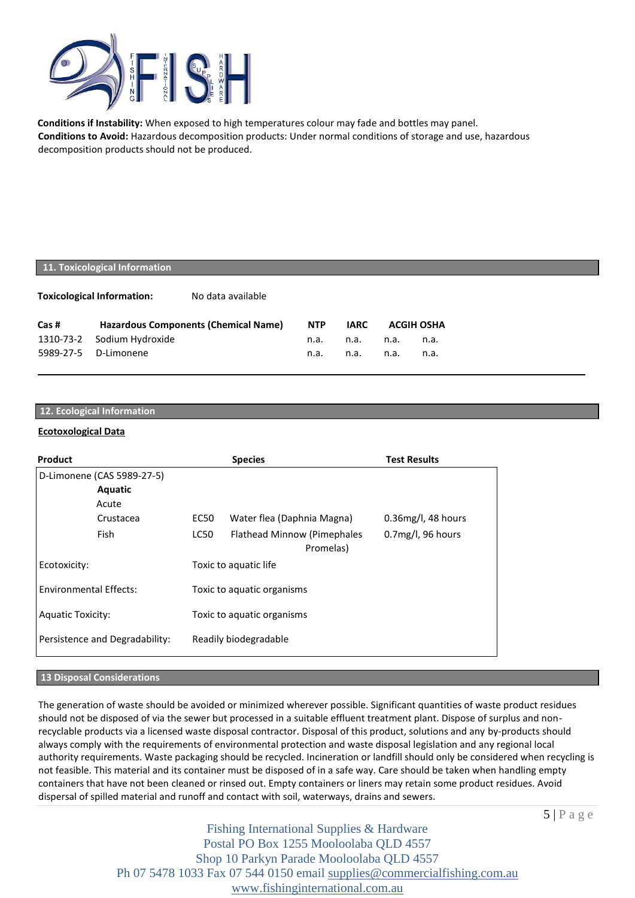

**Conditions if Instability:** When exposed to high temperatures colour may fade and bottles may panel. **Conditions to Avoid:** Hazardous decomposition products: Under normal conditions of storage and use, hazardous decomposition products should not be produced.

# **11. Toxicological Information**

**Toxicological Information:** No data available

| Cas # | <b>Hazardous Components (Chemical Name)</b> | <b>NTP</b> | IARC      | <b>ACGIH OSHA</b> |      |
|-------|---------------------------------------------|------------|-----------|-------------------|------|
|       | 1310-73-2 Sodium Hydroxide                  | n.a.       | n.a. n.a. |                   | n.a. |
|       | 5989-27-5 D-Limonene                        | n.a.       | n.a. n.a. |                   | n.a. |

# **12. Ecological Information**

# **Ecotoxological Data**

| <b>Product</b>                 | <b>Species</b>                                   | <b>Test Results</b>   |
|--------------------------------|--------------------------------------------------|-----------------------|
| D-Limonene (CAS 5989-27-5)     |                                                  |                       |
| Aquatic                        |                                                  |                       |
| Acute                          |                                                  |                       |
| Crustacea                      | Water flea (Daphnia Magna)<br>EC50               | $0.36$ mg/l, 48 hours |
| Fish                           | LC50<br>Flathead Minnow (Pimephales<br>Promelas) | $0.7$ mg/l, 96 hours  |
| Ecotoxicity:                   | Toxic to aquatic life                            |                       |
| <b>Environmental Effects:</b>  | Toxic to aquatic organisms                       |                       |
| <b>Aquatic Toxicity:</b>       | Toxic to aquatic organisms                       |                       |
| Persistence and Degradability: | Readily biodegradable                            |                       |

# **13 Disposal Considerations**

The generation of waste should be avoided or minimized wherever possible. Significant quantities of waste product residues should not be disposed of via the sewer but processed in a suitable effluent treatment plant. Dispose of surplus and nonrecyclable products via a licensed waste disposal contractor. Disposal of this product, solutions and any by-products should always comply with the requirements of environmental protection and waste disposal legislation and any regional local authority requirements. Waste packaging should be recycled. Incineration or landfill should only be considered when recycling is not feasible. This material and its container must be disposed of in a safe way. Care should be taken when handling empty containers that have not been cleaned or rinsed out. Empty containers or liners may retain some product residues. Avoid dispersal of spilled material and runoff and contact with soil, waterways, drains and sewers.

 $5 | P a g e$ 

Fishing International Supplies & Hardware Postal PO Box 1255 Mooloolaba QLD 4557 Shop 10 Parkyn Parade Mooloolaba QLD 4557 Ph 07 5478 1033 Fax 07 544 0150 email [supplies@commercialfishing.com.au](mailto:supplies@commercialfishing.com.au) [www.fishinginternational.com.au](http://www.fishinginternational.com.au/)